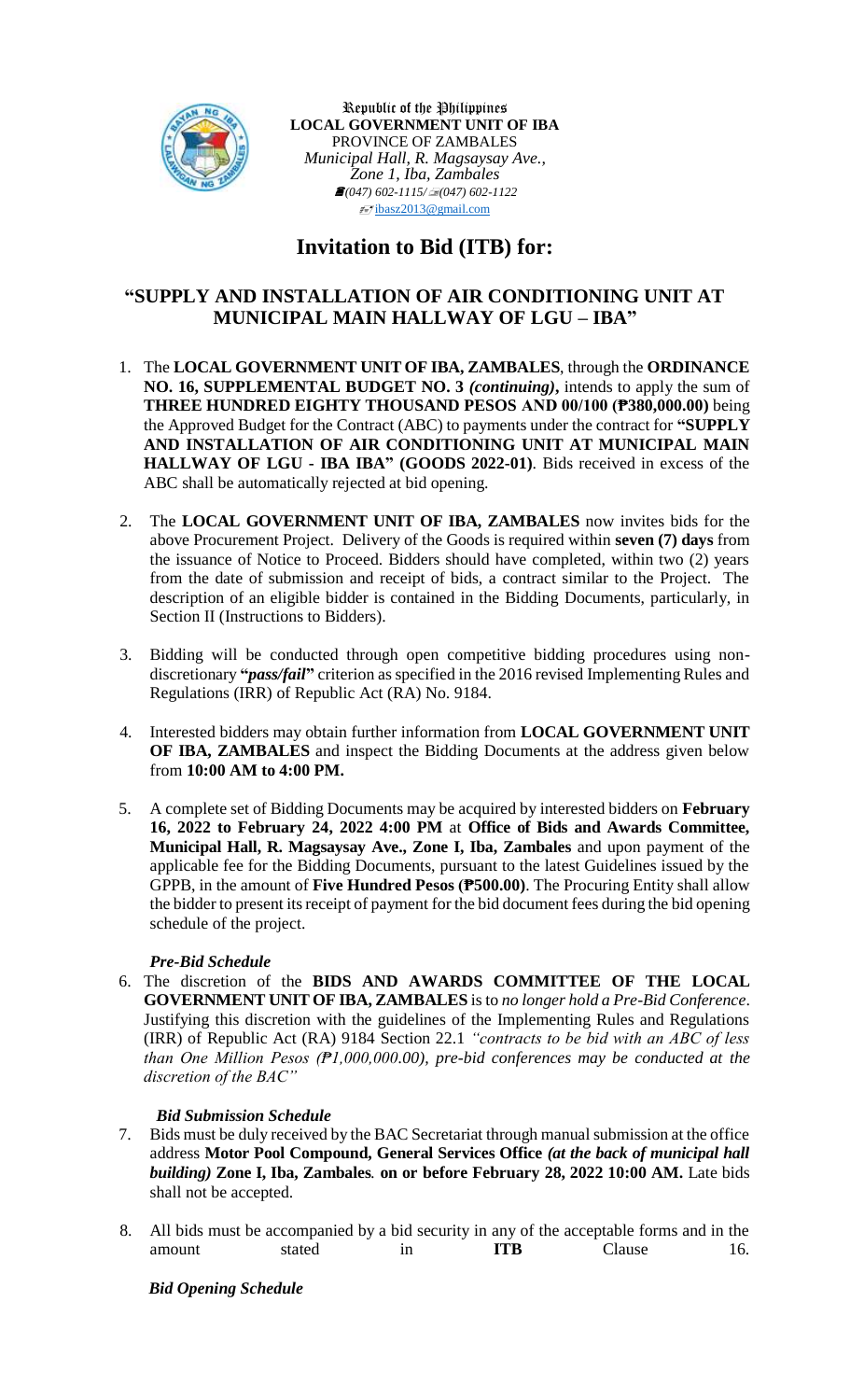

Republic of the Philippines **LOCAL GOVERNMENT UNIT OF IBA** PROVINCE OF ZAMBALES *Municipal Hall, R. Magsaysay Ave., Zone 1, Iba, Zambales (047) 602-1115/(047) 602-1122*  $\sqrt{\frac{1}{2}}$ [ibasz2013@gmail.com](mailto:ibasz2013@gmail.com)

## **Invitation to Bid (ITB) for:**

## **"SUPPLY AND INSTALLATION OF AIR CONDITIONING UNIT AT MUNICIPAL MAIN HALLWAY OF LGU – IBA"**

- 1. The **LOCAL GOVERNMENT UNIT OF IBA, ZAMBALES**, through the **ORDINANCE NO. 16, SUPPLEMENTAL BUDGET NO. 3** *(continuing)***,** intends to apply the sum of **THREE HUNDRED EIGHTY THOUSAND PESOS AND 00/100 (₱380,000.00)** being the Approved Budget for the Contract (ABC) to payments under the contract for **"SUPPLY AND INSTALLATION OF AIR CONDITIONING UNIT AT MUNICIPAL MAIN HALLWAY OF LGU - IBA IBA" (GOODS 2022-01)**. Bids received in excess of the ABC shall be automatically rejected at bid opening.
- 2. The **LOCAL GOVERNMENT UNIT OF IBA, ZAMBALES** now invites bids for the above Procurement Project. Delivery of the Goods is required within **seven (7) days** from the issuance of Notice to Proceed. Bidders should have completed, within two (2) years from the date of submission and receipt of bids, a contract similar to the Project. The description of an eligible bidder is contained in the Bidding Documents, particularly, in Section II (Instructions to Bidders).
- 3. Bidding will be conducted through open competitive bidding procedures using nondiscretionary **"***pass/fail***"** criterion as specified in the 2016 revised Implementing Rules and Regulations (IRR) of Republic Act (RA) No. 9184.
- 4. Interested bidders may obtain further information from **LOCAL GOVERNMENT UNIT OF IBA, ZAMBALES** and inspect the Bidding Documents at the address given below from **10:00 AM to 4:00 PM.**
- 5. A complete set of Bidding Documents may be acquired by interested bidders on **February 16, 2022 to February 24, 2022 4:00 PM** at **Office of Bids and Awards Committee, Municipal Hall, R. Magsaysay Ave., Zone I, Iba, Zambales** and upon payment of the applicable fee for the Bidding Documents, pursuant to the latest Guidelines issued by the GPPB, in the amount of **Five Hundred Pesos (₱500.00)**. The Procuring Entity shall allow the bidder to present its receipt of payment for the bid document fees during the bid opening schedule of the project.

## *Pre-Bid Schedule*

6. The discretion of the **BIDS AND AWARDS COMMITTEE OF THE LOCAL GOVERNMENT UNIT OF IBA, ZAMBALES** is to *no longer hold a Pre-Bid Conference*. Justifying this discretion with the guidelines of the Implementing Rules and Regulations (IRR) of Republic Act (RA) 9184 Section 22.1 *"contracts to be bid with an ABC of less than One Million Pesos (₱1,000,000.00), pre-bid conferences may be conducted at the discretion of the BAC"*

## *Bid Submission Schedule*

- 7. Bids must be duly received by the BAC Secretariat through manual submission at the office address **Motor Pool Compound, General Services Office** *(at the back of municipal hall building)* **Zone I, Iba, Zambales***.* **on or before February 28, 2022 10:00 AM.** Late bids shall not be accepted.
- 8. All bids must be accompanied by a bid security in any of the acceptable forms and in the amount stated in **ITB** Clause 16.